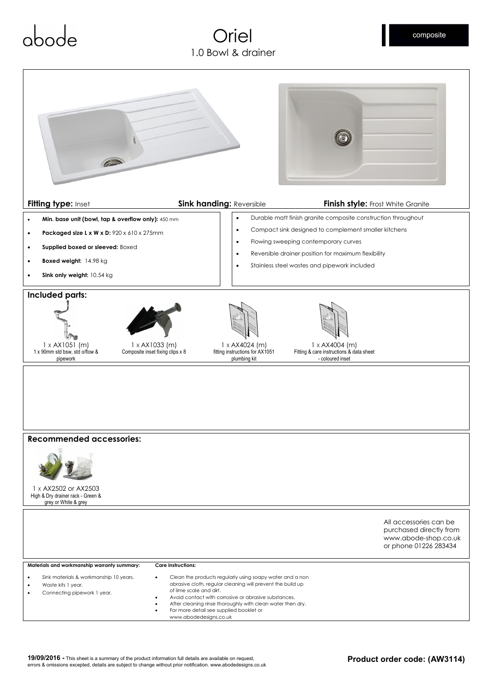